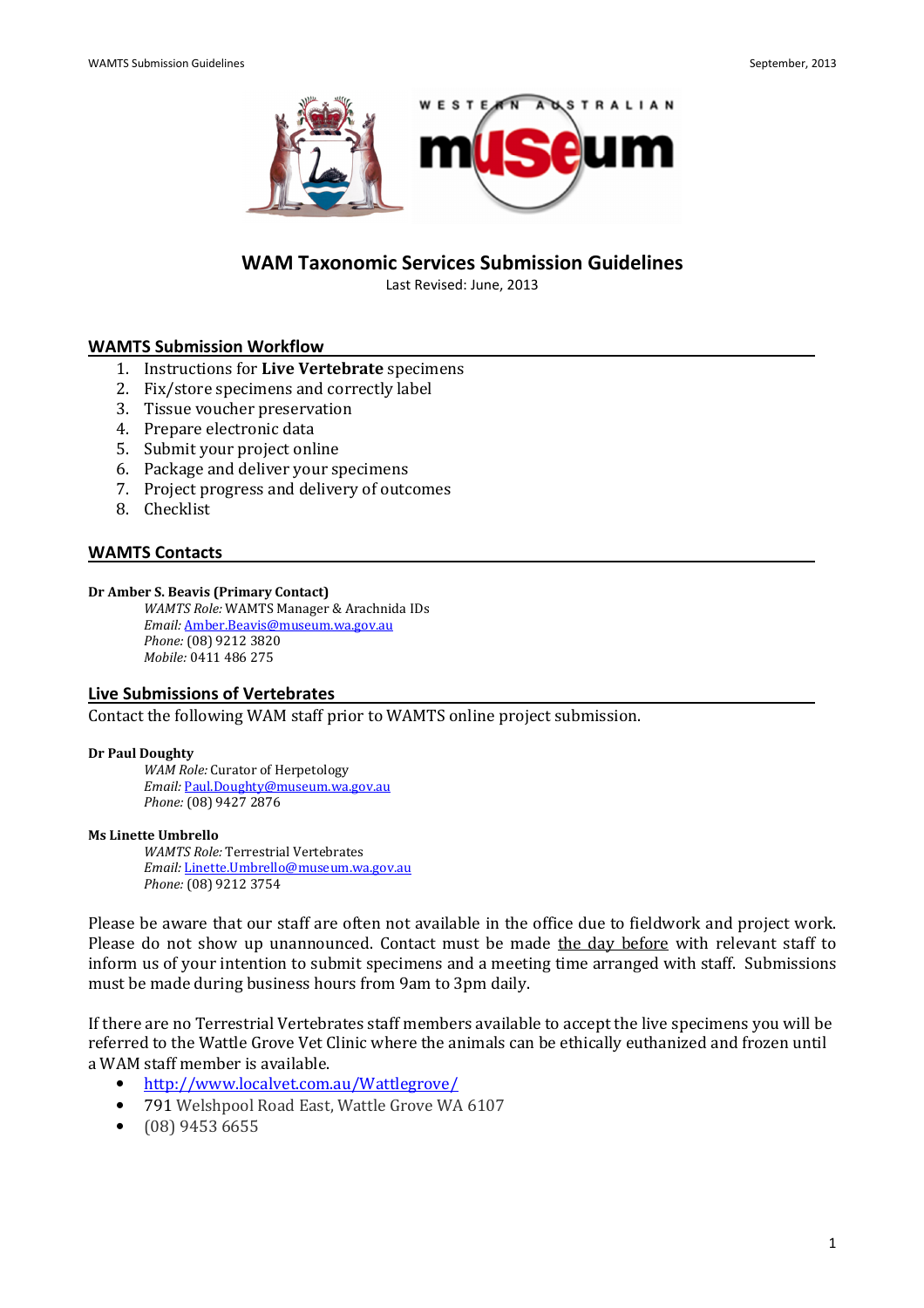

# WAM Taxonomic Services Submission Guidelines

Last Revised: June, 2013

#### WAMTS Submission Workflow

- 1. Instructions for Live Vertebrate specimens
- 2. Fix/store specimens and correctly label
- 3. Tissue voucher preservation
- 4. Prepare electronic data
- 5. Submit your project online
- 6. Package and deliver your specimens
- 7. Project progress and delivery of outcomes
- 8. Checklist

#### WAMTS Contacts

#### Dr Amber S. Beavis (Primary Contact)

WAMTS Role: WAMTS Manager & Arachnida IDs Email: Amber.Beavis@museum.wa.gov.au Phone: (08) 9212 3820 Mobile: 0411 486 275

#### Live Submissions of Vertebrates

Contact the following WAM staff prior to WAMTS online project submission.

#### Dr Paul Doughty

WAM Role: Curator of Herpetology Email: Paul.Doughty@museum.wa.gov.au Phone: (08) 9427 2876

#### Ms Linette Umbrello

WAMTS Role: Terrestrial Vertebrates Email: Linette.Umbrello@museum.wa.gov.au Phone: (08) 9212 3754

Please be aware that our staff are often not available in the office due to fieldwork and project work. Please do not show up unannounced. Contact must be made the day before with relevant staff to inform us of your intention to submit specimens and a meeting time arranged with staff. Submissions must be made during business hours from 9am to 3pm daily.

If there are no Terrestrial Vertebrates staff members available to accept the live specimens you will be referred to the Wattle Grove Vet Clinic where the animals can be ethically euthanized and frozen until a WAM staff member is available.

- http://www.localvet.com.au/Wattlegrove/
- 791 Welshpool Road East, Wattle Grove WA 6107
- (08) 9453 6655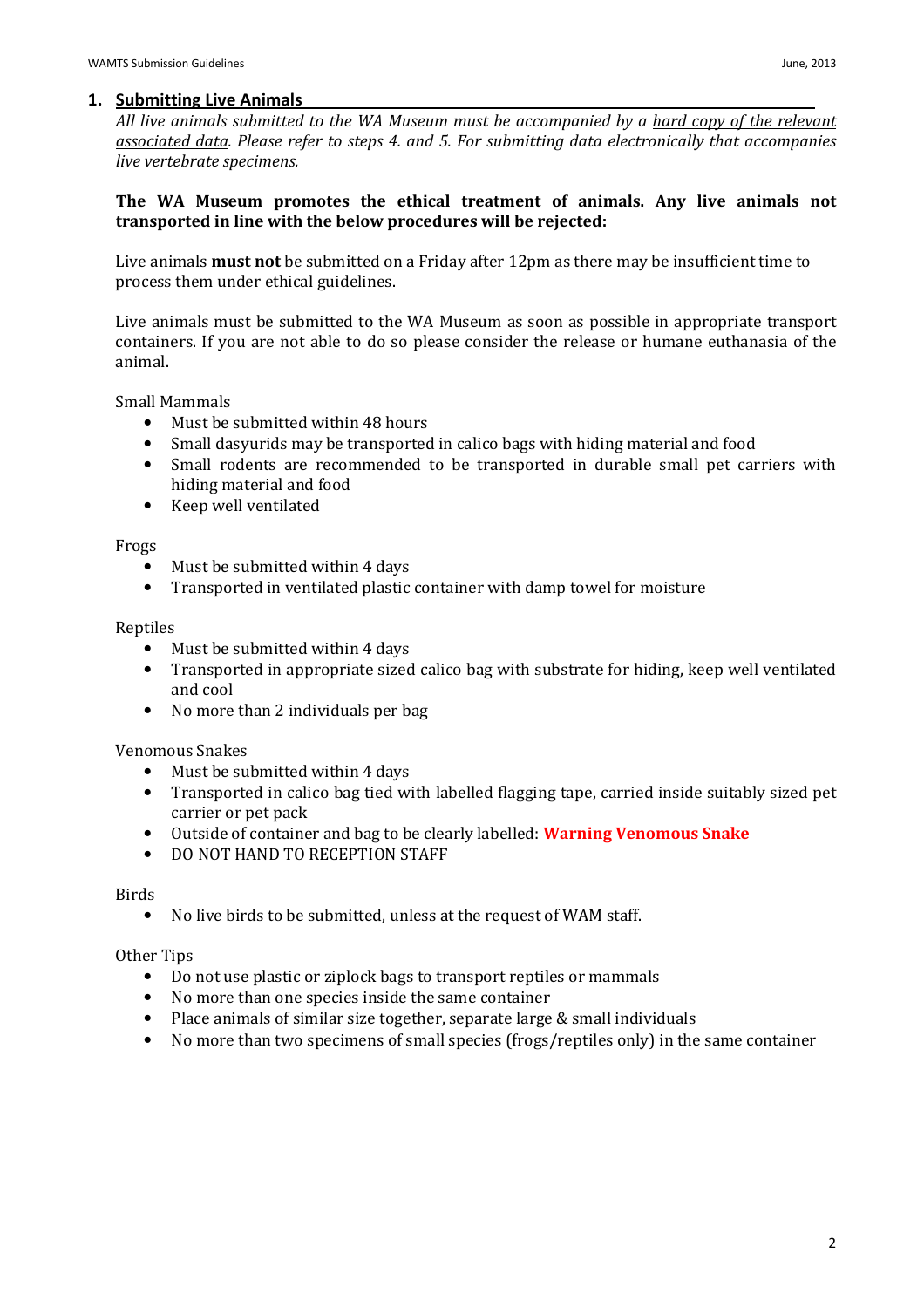All live animals submitted to the WA Museum must be accompanied by a hard copy of the relevant associated data. Please refer to steps 4. and 5. For submitting data electronically that accompanies live vertebrate specimens.

## The WA Museum promotes the ethical treatment of animals. Any live animals not transported in line with the below procedures will be rejected:

Live animals must not be submitted on a Friday after 12pm as there may be insufficient time to process them under ethical guidelines.

Live animals must be submitted to the WA Museum as soon as possible in appropriate transport containers. If you are not able to do so please consider the release or humane euthanasia of the animal.

Small Mammals

- Must be submitted within 48 hours
- Small dasyurids may be transported in calico bags with hiding material and food
- Small rodents are recommended to be transported in durable small pet carriers with hiding material and food
- Keep well ventilated

Frogs

- Must be submitted within 4 days
- Transported in ventilated plastic container with damp towel for moisture

#### Reptiles

- Must be submitted within 4 days
- Transported in appropriate sized calico bag with substrate for hiding, keep well ventilated and cool
- No more than 2 individuals per bag

Venomous Snakes

- Must be submitted within 4 days
- Transported in calico bag tied with labelled flagging tape, carried inside suitably sized pet carrier or pet pack
- Outside of container and bag to be clearly labelled: **Warning Venomous Snake**
- DO NOT HAND TO RECEPTION STAFF

### Birds

• No live birds to be submitted, unless at the request of WAM staff.

Other Tips

- Do not use plastic or ziplock bags to transport reptiles or mammals
- No more than one species inside the same container
- Place animals of similar size together, separate large & small individuals
- No more than two specimens of small species (frogs/reptiles only) in the same container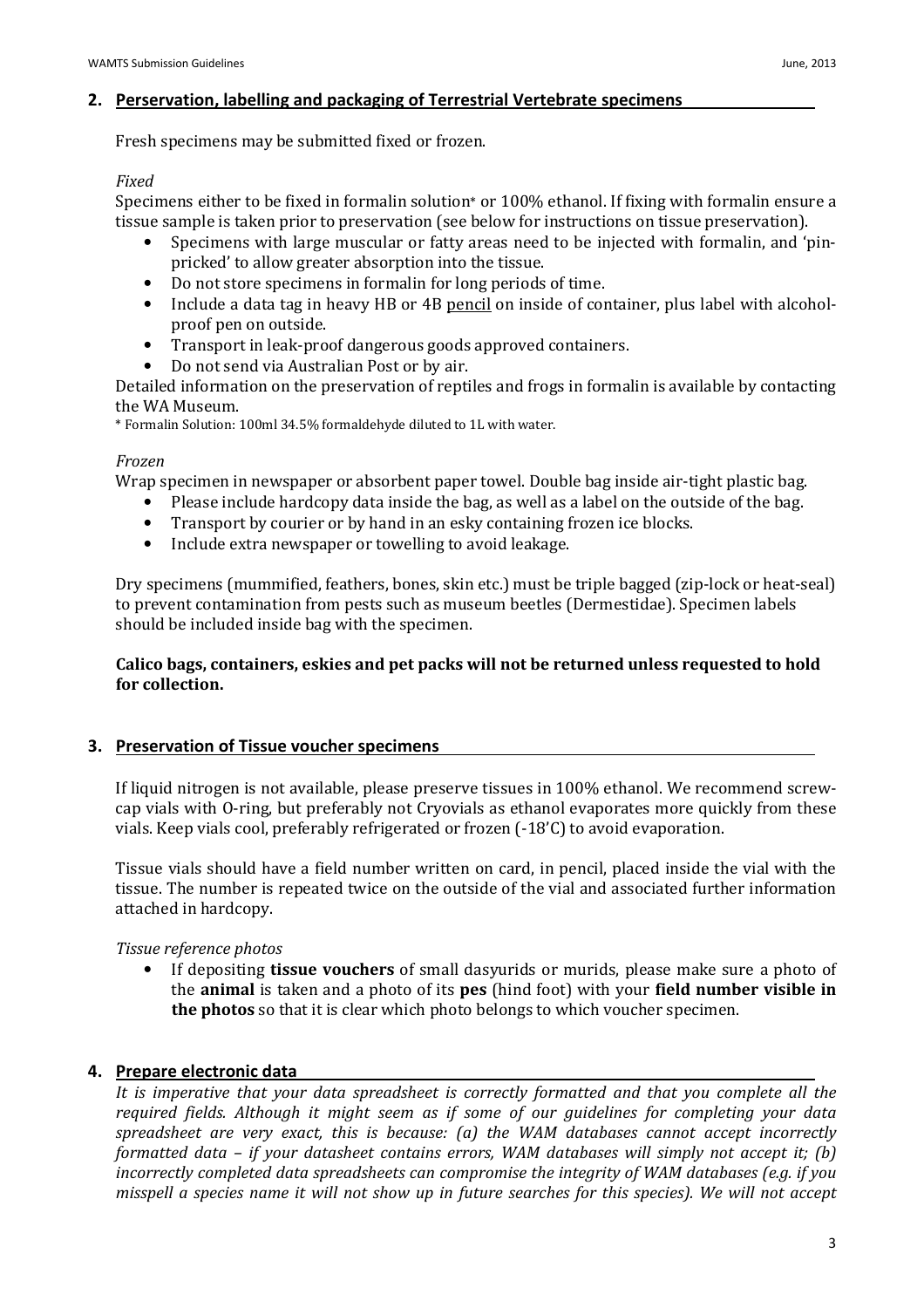# 2. Perservation, labelling and packaging of Terrestrial Vertebrate specimens

Fresh specimens may be submitted fixed or frozen.

## Fixed

Specimens either to be fixed in formalin solution\* or 100% ethanol. If fixing with formalin ensure a tissue sample is taken prior to preservation (see below for instructions on tissue preservation).

- Specimens with large muscular or fatty areas need to be injected with formalin, and 'pinpricked' to allow greater absorption into the tissue.
- Do not store specimens in formalin for long periods of time.
- Include a data tag in heavy HB or 4B pencil on inside of container, plus label with alcoholproof pen on outside.
- Transport in leak-proof dangerous goods approved containers.
- Do not send via Australian Post or by air.

Detailed information on the preservation of reptiles and frogs in formalin is available by contacting the WA Museum.

\* Formalin Solution: 100ml 34.5% formaldehyde diluted to 1L with water.

## Frozen

Wrap specimen in newspaper or absorbent paper towel. Double bag inside air-tight plastic bag.

- Please include hardcopy data inside the bag, as well as a label on the outside of the bag.
- Transport by courier or by hand in an esky containing frozen ice blocks.
- Include extra newspaper or towelling to avoid leakage.

Dry specimens (mummified, feathers, bones, skin etc.) must be triple bagged (zip-lock or heat-seal) to prevent contamination from pests such as museum beetles (Dermestidae). Specimen labels should be included inside bag with the specimen.

## Calico bags, containers, eskies and pet packs will not be returned unless requested to hold for collection.

# 3. Preservation of Tissue voucher specimens

If liquid nitrogen is not available, please preserve tissues in 100% ethanol. We recommend screwcap vials with O-ring, but preferably not Cryovials as ethanol evaporates more quickly from these vials. Keep vials cool, preferably refrigerated or frozen (-18'C) to avoid evaporation.

Tissue vials should have a field number written on card, in pencil, placed inside the vial with the tissue. The number is repeated twice on the outside of the vial and associated further information attached in hardcopy.

## Tissue reference photos

• If depositing **tissue vouchers** of small dasyurids or murids, please make sure a photo of the animal is taken and a photo of its pes (hind foot) with your field number visible in the photos so that it is clear which photo belongs to which voucher specimen.

## 4. Prepare electronic data

It is imperative that your data spreadsheet is correctly formatted and that you complete all the required fields. Although it might seem as if some of our guidelines for completing your data spreadsheet are very exact, this is because: (a) the WAM databases cannot accept incorrectly formatted data – if your datasheet contains errors, WAM databases will simply not accept it; (b) incorrectly completed data spreadsheets can compromise the integrity of WAM databases (e.g. if you misspell a species name it will not show up in future searches for this species). We will not accept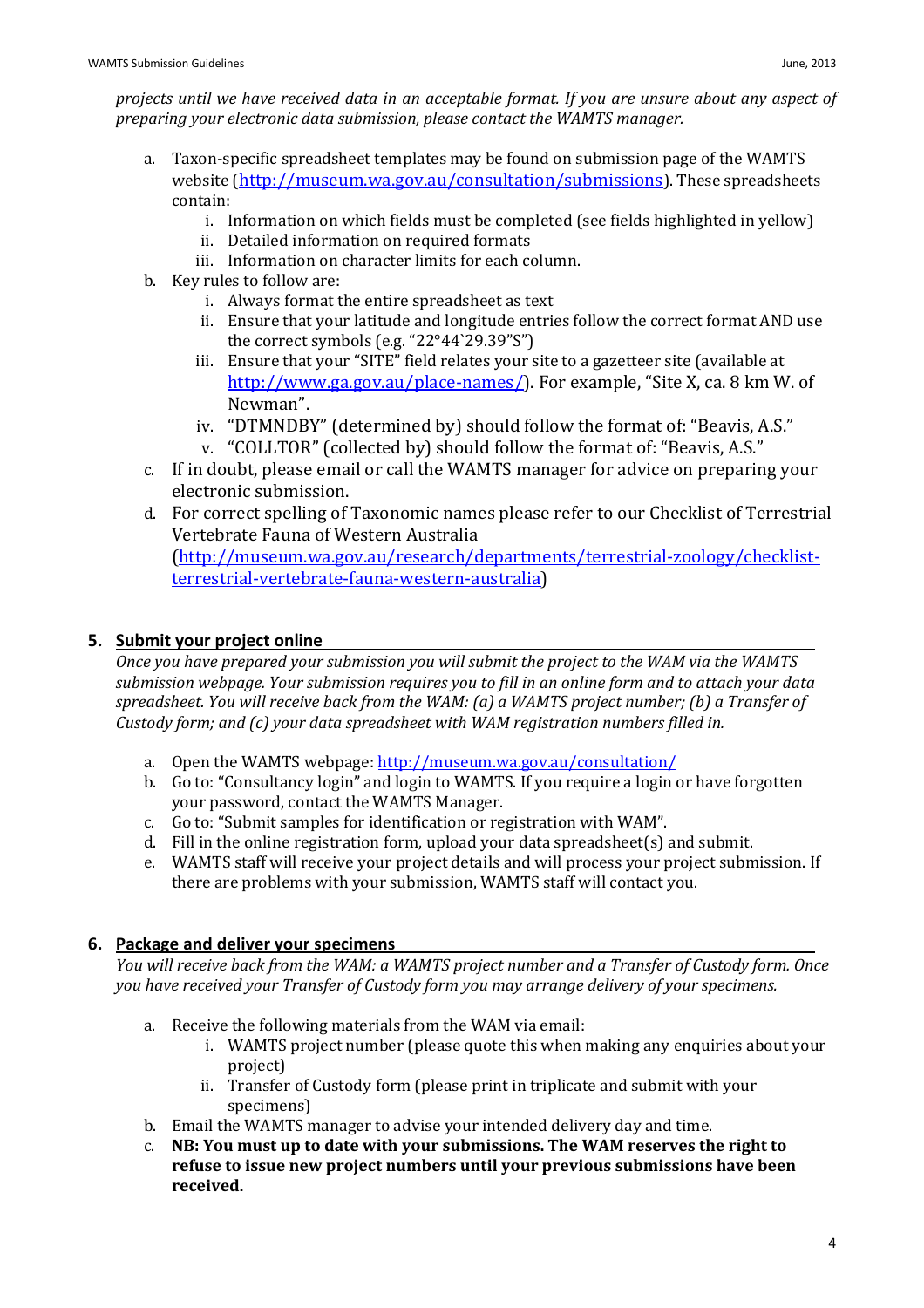- a. Taxon-specific spreadsheet templates may be found on submission page of the WAMTS website (http://museum.wa.gov.au/consultation/submissions). These spreadsheets contain:
	- i. Information on which fields must be completed (see fields highlighted in yellow)
	- ii. Detailed information on required formats
	- iii. Information on character limits for each column.
- b. Key rules to follow are:
	- i. Always format the entire spreadsheet as text
	- ii. Ensure that your latitude and longitude entries follow the correct format AND use the correct symbols (e.g. "22°44`29.39"S")
	- iii. Ensure that your "SITE" field relates your site to a gazetteer site (available at http://www.ga.gov.au/place-names/). For example, "Site X, ca. 8 km W. of Newman".
	- iv. "DTMNDBY" (determined by) should follow the format of: "Beavis, A.S."
	- v. "COLLTOR" (collected by) should follow the format of: "Beavis, A.S."
- c. If in doubt, please email or call the WAMTS manager for advice on preparing your electronic submission.
- d. For correct spelling of Taxonomic names please refer to our Checklist of Terrestrial Vertebrate Fauna of Western Australia

(http://museum.wa.gov.au/research/departments/terrestrial-zoology/checklistterrestrial-vertebrate-fauna-western-australia)

# 5. Submit your project online

Once you have prepared your submission you will submit the project to the WAM via the WAMTS submission webpage. Your submission requires you to fill in an online form and to attach your data spreadsheet. You will receive back from the WAM: (a) a WAMTS project number; (b) a Transfer of Custody form; and (c) your data spreadsheet with WAM registration numbers filled in.

- a. Open the WAMTS webpage: http://museum.wa.gov.au/consultation/
- b. Go to: "Consultancy login" and login to WAMTS. If you require a login or have forgotten your password, contact the WAMTS Manager.
- c. Go to: "Submit samples for identification or registration with WAM".
- d. Fill in the online registration form, upload your data spreadsheet(s) and submit.
- e. WAMTS staff will receive your project details and will process your project submission. If there are problems with your submission, WAMTS staff will contact you.

# 6. Package and deliver your specimens

You will receive back from the WAM: a WAMTS project number and a Transfer of Custody form. Once you have received your Transfer of Custody form you may arrange delivery of your specimens.

- a. Receive the following materials from the WAM via email:
	- i. WAMTS project number (please quote this when making any enquiries about your project)
	- ii. Transfer of Custody form (please print in triplicate and submit with your specimens)
- b. Email the WAMTS manager to advise your intended delivery day and time.
- c. NB: You must up to date with your submissions. The WAM reserves the right to refuse to issue new project numbers until your previous submissions have been received.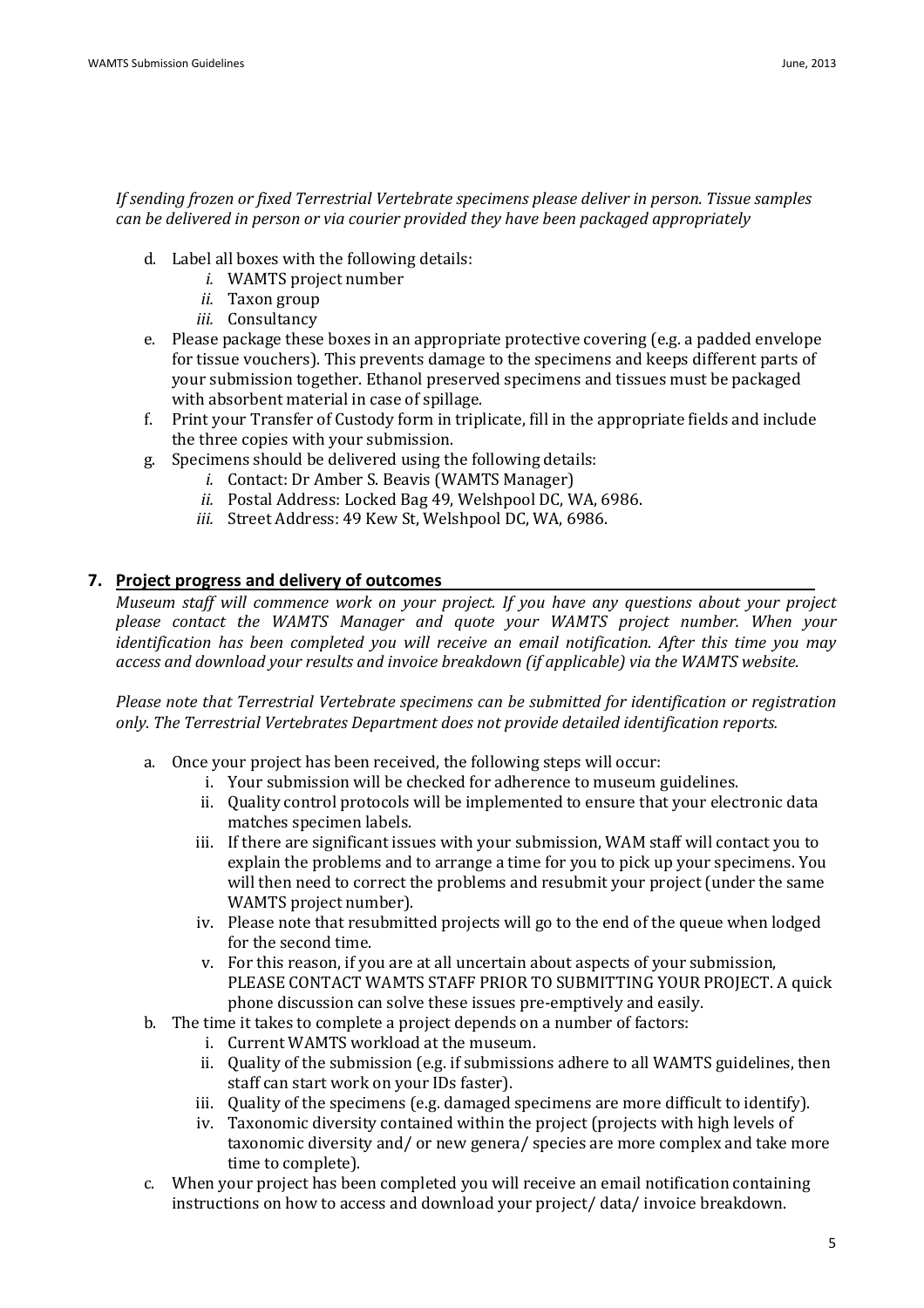## If sending frozen or fixed Terrestrial Vertebrate specimens please deliver in person. Tissue samples can be delivered in person or via courier provided they have been packaged appropriately

- d. Label all boxes with the following details:
	- i. WAMTS project number
	- ii. Taxon group
	- iii. Consultancy
- e. Please package these boxes in an appropriate protective covering (e.g. a padded envelope for tissue vouchers). This prevents damage to the specimens and keeps different parts of your submission together. Ethanol preserved specimens and tissues must be packaged with absorbent material in case of spillage.
- f. Print your Transfer of Custody form in triplicate, fill in the appropriate fields and include the three copies with your submission.
- g. Specimens should be delivered using the following details:
	- i. Contact: Dr Amber S. Beavis (WAMTS Manager)
	- ii. Postal Address: Locked Bag 49, Welshpool DC, WA, 6986.
	- iii. Street Address: 49 Kew St, Welshpool DC, WA, 6986.

## 7. Project progress and delivery of outcomes

Museum staff will commence work on your project. If you have any questions about your project please contact the WAMTS Manager and quote your WAMTS project number. When your identification has been completed you will receive an email notification. After this time you may access and download your results and invoice breakdown (if applicable) via the WAMTS website.

Please note that Terrestrial Vertebrate specimens can be submitted for identification or registration only. The Terrestrial Vertebrates Department does not provide detailed identification reports.

- a. Once your project has been received, the following steps will occur:
	- i. Your submission will be checked for adherence to museum guidelines.
	- ii. Quality control protocols will be implemented to ensure that your electronic data matches specimen labels.
	- iii. If there are significant issues with your submission, WAM staff will contact you to explain the problems and to arrange a time for you to pick up your specimens. You will then need to correct the problems and resubmit your project (under the same WAMTS project number).
	- iv. Please note that resubmitted projects will go to the end of the queue when lodged for the second time.
	- v. For this reason, if you are at all uncertain about aspects of your submission, PLEASE CONTACT WAMTS STAFF PRIOR TO SUBMITTING YOUR PROJECT. A quick phone discussion can solve these issues pre-emptively and easily.
- b. The time it takes to complete a project depends on a number of factors:
	- i. Current WAMTS workload at the museum.
	- ii. Quality of the submission (e.g. if submissions adhere to all WAMTS guidelines, then staff can start work on your IDs faster).
	- iii. Quality of the specimens (e.g. damaged specimens are more difficult to identify).
	- iv. Taxonomic diversity contained within the project (projects with high levels of taxonomic diversity and/ or new genera/ species are more complex and take more time to complete).
- c. When your project has been completed you will receive an email notification containing instructions on how to access and download your project/ data/ invoice breakdown.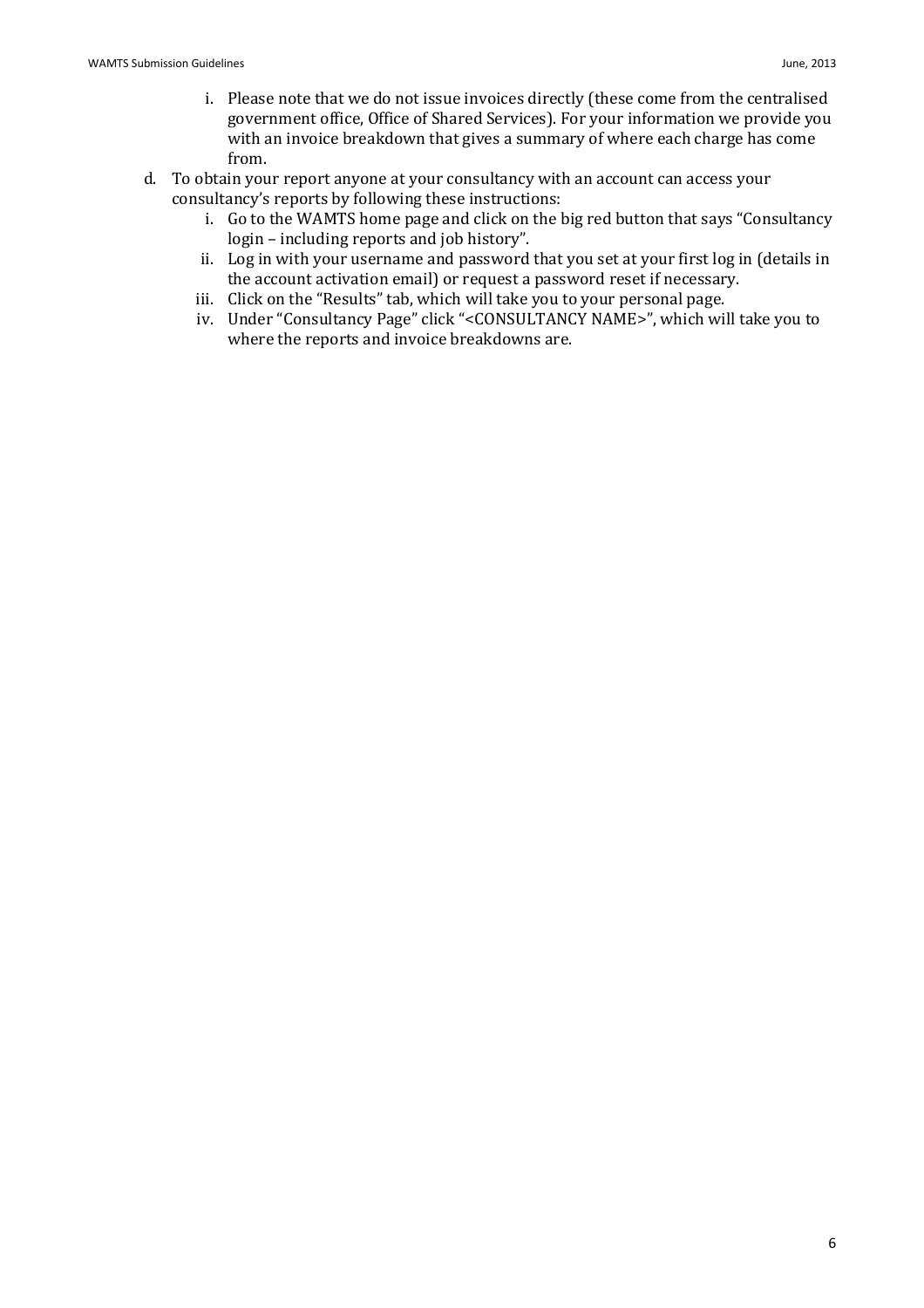- i. Please note that we do not issue invoices directly (these come from the centralised government office, Office of Shared Services). For your information we provide you with an invoice breakdown that gives a summary of where each charge has come from.
- d. To obtain your report anyone at your consultancy with an account can access your consultancy's reports by following these instructions:
	- i. Go to the WAMTS home page and click on the big red button that says "Consultancy login – including reports and job history".
	- ii. Log in with your username and password that you set at your first log in (details in the account activation email) or request a password reset if necessary.
	- iii. Click on the "Results" tab, which will take you to your personal page.
	- iv. Under "Consultancy Page" click "<CONSULTANCY NAME>", which will take you to where the reports and invoice breakdowns are.